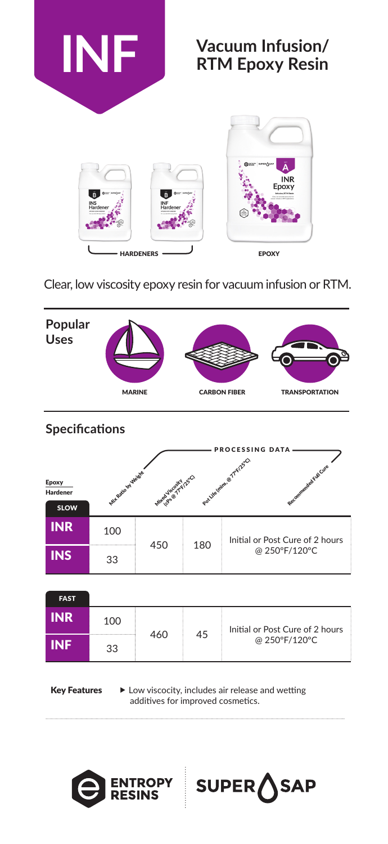

# **Vacuum Infusion/ RTM Epoxy Resin**



Clear, low viscosity epoxy resin for vacuum infusion or RTM.



| <b>Specifications</b>                   |                        |                       |     |                                                     |  |  |  |  |
|-----------------------------------------|------------------------|-----------------------|-----|-----------------------------------------------------|--|--|--|--|
|                                         | <b>PROCESSING DATA</b> |                       |     |                                                     |  |  |  |  |
| Epoxy<br><b>Hardener</b><br><b>SLOW</b> | Mit Ratio by Weight    | Mued Viscontre (25°C) |     | Pot Life (mite of Treize O<br>Recommended Full Cure |  |  |  |  |
| <b>INR</b>                              | 100                    | 450                   | 180 | Initial or Post Cure of 2 hours                     |  |  |  |  |
| <b>INS</b>                              | 33                     |                       |     | @ 250°F/120°C                                       |  |  |  |  |
|                                         |                        |                       |     |                                                     |  |  |  |  |

| <b>FAST</b> |     |     |    |                                                  |
|-------------|-----|-----|----|--------------------------------------------------|
| <b>INR</b>  | 100 |     | 45 | Initial or Post Cure of 2 hours<br>@ 250°F/120°C |
| <b>INF</b>  | 33  | 460 |    |                                                  |

Key Features  $\longrightarrow$  Low viscocity, includes air release and wetting additives for improved cosmetics.

SAP